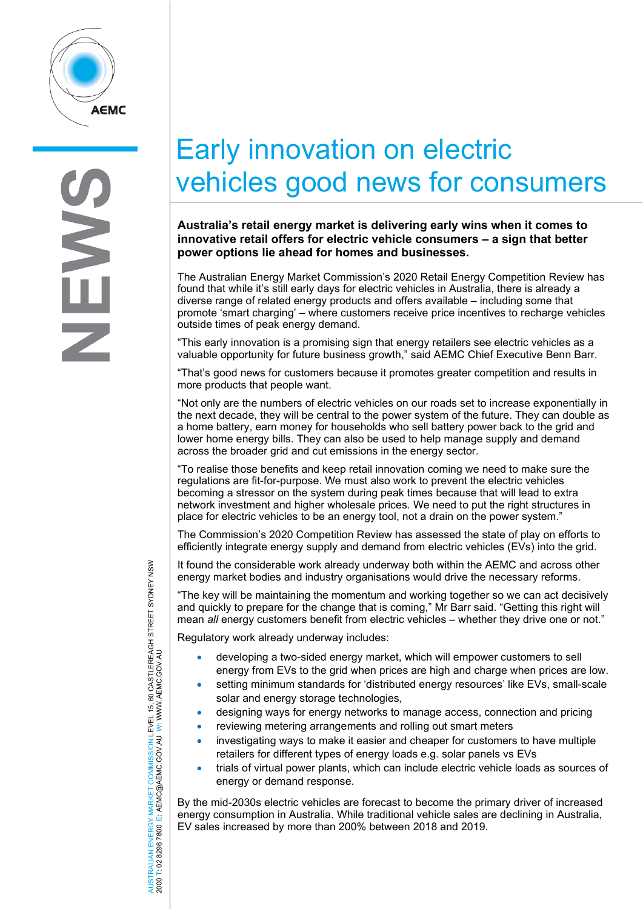

# Early innovation on electric vehicles good news for consumers

**Australia's retail energy market is delivering early wins when it comes to innovative retail offers for electric vehicle consumers – a sign that better power options lie ahead for homes and businesses.**

The Australian Energy Market Commission's 2020 Retail Energy Competition Review has found that while it's still early days for electric vehicles in Australia, there is already a diverse range of related energy products and offers available – including some that promote 'smart charging' – where customers receive price incentives to recharge vehicles outside times of peak energy demand.

"This early innovation is a promising sign that energy retailers see electric vehicles as a valuable opportunity for future business growth," said AEMC Chief Executive Benn Barr.

"That's good news for customers because it promotes greater competition and results in more products that people want.

"Not only are the numbers of electric vehicles on our roads set to increase exponentially in the next decade, they will be central to the power system of the future. They can double as a home battery, earn money for households who sell battery power back to the grid and lower home energy bills. They can also be used to help manage supply and demand across the broader grid and cut emissions in the energy sector.

"To realise those benefits and keep retail innovation coming we need to make sure the regulations are fit-for-purpose. We must also work to prevent the electric vehicles becoming a stressor on the system during peak times because that will lead to extra network investment and higher wholesale prices. We need to put the right structures in place for electric vehicles to be an energy tool, not a drain on the power system."

The Commission's 2020 Competition Review has assessed the state of play on efforts to efficiently integrate energy supply and demand from electric vehicles (EVs) into the grid.

It found the considerable work already underway both within the AEMC and across other energy market bodies and industry organisations would drive the necessary reforms.

"The key will be maintaining the momentum and working together so we can act decisively and quickly to prepare for the change that is coming," Mr Barr said. "Getting this right will mean *all* energy customers benefit from electric vehicles – whether they drive one or not."

Regulatory work already underway includes:

- developing a two-sided energy market, which will empower customers to sell energy from EVs to the grid when prices are high and charge when prices are low.
- setting minimum standards for 'distributed energy resources' like EVs, small-scale solar and energy storage technologies,
- designing ways for energy networks to manage access, connection and pricing
- reviewing metering arrangements and rolling out smart meters
- investigating ways to make it easier and cheaper for customers to have multiple retailers for different types of energy loads e.g. solar panels vs EVs
- trials of virtual power plants, which can include electric vehicle loads as sources of energy or demand response.

By the mid-2030s electric vehicles are forecast to become the primary driver of increased energy consumption in Australia. While traditional vehicle sales are declining in Australia, EV sales increased by more than 200% between 2018 and 2019.

AUSTRALIAN ENERGY MARKET COMMISSION LEVEL 15, 60 CASTLEREAGH STREET SYDNEY NSW<br>2000 T: 02 8296 7800 E: AEMC@AEMC.GOV.AU W: WWW.AEMC.GOV.AU AUSTRALIAN ENERGY MARKET COMMISSION LEVEL 15, 60 CASTLEREAGH STREET SYDNEY NSW W: WWW.AEMC.GOV.AU 2000 T: 02 8296 7800 E: AEMC@AEMC.GOV.AU